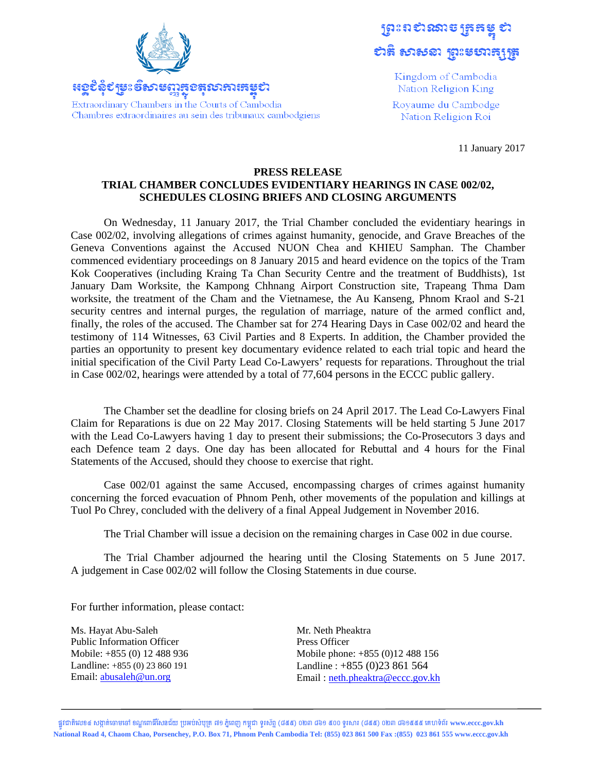

<u> អុកស្តូស្កូរ អូន ខ្ពសាត្រប័រដ៏ទេដ្ឋស្រមរា</u> Extraordinary Chambers in the Courts of Cambodia Chambres extraordinaires au sein des tribunaux cambodgiens

ព្រះពស<mark>៌</mark>សោទ ត្រួតម្នុ សនិ សាសនា ព្រះមហាត្សត្រូ

> Kingdom of Cambodia Nation Religion King

Royaume du Cambodge Nation Religion Roi

11 January 2017

## PRESS RELEASE TRIAL CHAMBER CONCLUDES EVIDENTIARY HEARINGS IN CASE 002/02, **SCHEDULES CLOSING BRIEFS AND CLOSING ARGUMENTS**

On Wednesday, 11 January 2017, the Trial Chamber concluded the evidentiary hearings in Case 002/02, involving allegations of crimes against humanity, genocide, and Grave Breaches of the Geneva Conventions against the Accused NUON Chea and KHIEU Samphan. The Chamber commenced evidentiary proceedings on 8 January 2015 and heard evidence on the topics of the Tram Kok Cooperatives (including Kraing Ta Chan Security Centre and the treatment of Buddhists), 1st January Dam Worksite, the Kampong Chhnang Airport Construction site, Trapeang Thma Dam worksite, the treatment of the Cham and the Vietnamese, the Au Kanseng, Phnom Kraol and S-21 security centres and internal purges, the regulation of marriage, nature of the armed conflict and, finally, the roles of the accused. The Chamber sat for 274 Hearing Days in Case 002/02 and heard the testimony of 114 Witnesses, 63 Civil Parties and 8 Experts. In addition, the Chamber provided the parties an opportunity to present key documentary evidence related to each trial topic and heard the initial specification of the Civil Party Lead Co-Lawyers' requests for reparations. Throughout the trial in Case 002/02, hearings were attended by a total of 77,604 persons in the ECCC public gallery.

The Chamber set the deadline for closing briefs on 24 April 2017. The Lead Co-Lawyers Final Claim for Reparations is due on 22 May 2017. Closing Statements will be held starting 5 June 2017 with the Lead Co-Lawyers having 1 day to present their submissions; the Co-Prosecutors 3 days and each Defence team 2 days. One day has been allocated for Rebuttal and 4 hours for the Final Statements of the Accused, should they choose to exercise that right.

Case 002/01 against the same Accused, encompassing charges of crimes against humanity concerning the forced evacuation of Phnom Penh, other movements of the population and killings at Tuol Po Chrey, concluded with the delivery of a final Appeal Judgement in November 2016.

The Trial Chamber will issue a decision on the remaining charges in Case 002 in due course.

The Trial Chamber adjourned the hearing until the Closing Statements on 5 June 2017. A judgement in Case 002/02 will follow the Closing Statements in due course.

For further information, please contact:

Ms. Havat Abu-Saleh **Public Information Officer** Mobile: +855 (0) 12 488 936 Landline: +855 (0) 23 860 191 Email: abusaleh@un.org

Mr. Neth Pheaktra Press Officer Mobile phone: +855 (0)12 488 156 Landline:  $+855(0)23861564$ Email: neth.pheaktra@eccc.gov.kh